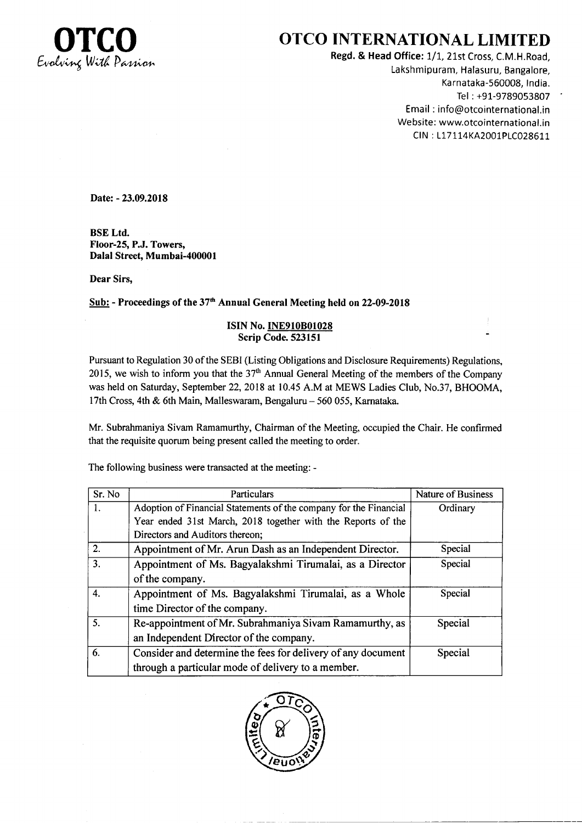

## OTCO INTERNATIONAL LIMITED

Regd. & Head Office: 1/1, 21st Cross, C.M.H.Road, Lakshmipuram, Halasuru, Bangalore, Karnataka-560008, tndia. Tel : +91-9789053807 Email : info@otcointernational.in Website: www.otcointernational.in CIN: L17114KA2001PLC028611

Date: - 23.09.2018

BSE Ltd. Floor-25, P.J. Towers, Dalal Street, Mumbai-400001

Dear Sirs,

Sub: - Proceedings of the 37<sup>th</sup> Annual General Meeting held on 22-09-2018

## ISIN No.INE910801028 Scrip Code.523151

Pursuant to Regulation 30 of the SEBI (Listing Obligations and Disclosure Requirements) Regulations, 2015, we wish to inform you that the  $37<sup>th</sup>$  Annual General Meeting of the members of the Company was held on Saturday, September 22, 2018 at 10.45 A.M at MEWS Ladies Club, No.37, BHOOMA, 17th Cross, 4th & 6th Main, Malleswaram, Bengaluru - 560 055, Karnataka.

Mr. Subrahmaniya Sivam Ramamurthy, Chairman of the Meeting, occupied the Chair. He confirmed that the requisite quorum being present called the meeting to order.

The following business were transacted at the meeting: -

| Sr. No | Particulars                                                       | Nature of Business |
|--------|-------------------------------------------------------------------|--------------------|
| 1.     | Adoption of Financial Statements of the company for the Financial | Ordinary           |
|        | Year ended 31st March, 2018 together with the Reports of the      |                    |
|        | Directors and Auditors thereon;                                   |                    |
| 2.     | Appointment of Mr. Arun Dash as an Independent Director.          | Special            |
| 3.     | Appointment of Ms. Bagyalakshmi Tirumalai, as a Director          | Special            |
|        | of the company.                                                   |                    |
| 4.     | Appointment of Ms. Bagyalakshmi Tirumalai, as a Whole             | Special            |
|        | time Director of the company.                                     |                    |
| 5.     | Re-appointment of Mr. Subrahmaniya Sivam Ramamurthy, as           | Special            |
|        | an Independent Director of the company.                           |                    |
| 6.     | Consider and determine the fees for delivery of any document      | Special            |
|        | through a particular mode of delivery to a member.                |                    |